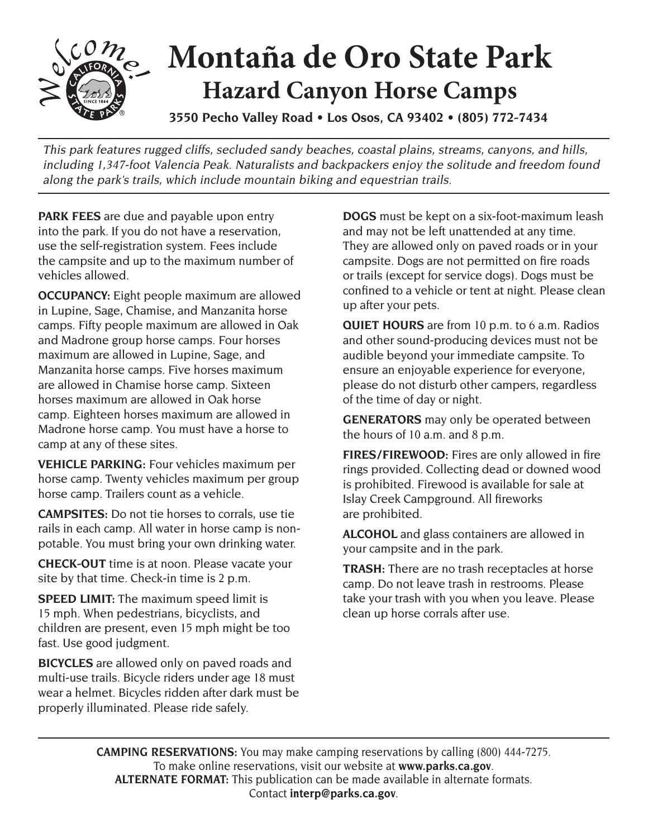

## **Montaña de Oro State Park Hazard Canyon Horse Camps**

**3550 Pecho Valley Road • Los Osos, CA 93402 • (805) 772-7434** 

This park features rugged cliffs, secluded sandy beaches, coastal plains, streams, canyons, and hills, including 1,347-foot Valencia Peak. Naturalists and backpackers enjoy the solitude and freedom found along the park's trails, which include mountain biking and equestrian trails.

 the campsite and up to the maximum number of **PARK FEES** are due and payable upon entry into the park. If you do not have a reservation, use the self-registration system. Fees include vehicles allowed.

**OCCUPANCY:** Eight people maximum are allowed in Lupine, Sage, Chamise, and Manzanita horse camps. Fifty people maximum are allowed in Oak and Madrone group horse camps. Four horses maximum are allowed in Lupine, Sage, and Manzanita horse camps. Five horses maximum are allowed in Chamise horse camp. Sixteen horses maximum are allowed in Oak horse camp. Eighteen horses maximum are allowed in Madrone horse camp. You must have a horse to camp at any of these sites.

**VEHICLE PARKING:** Four vehicles maximum per horse camp. Twenty vehicles maximum per group horse camp. Trailers count as a vehicle.

**CAMPSITES:** Do not tie horses to corrals, use tie rails in each camp. All water in horse camp is nonpotable. You must bring your own drinking water.

**CHECK-OUT** time is at noon. Please vacate your site by that time. Check-in time is 2 p.m.

**SPEED LIMIT:** The maximum speed limit is 15 mph. When pedestrians, bicyclists, and children are present, even 15 mph might be too fast. Use good judgment.

**BICYCLES** are allowed only on paved roads and multi-use trails. Bicycle riders under age 18 must wear a helmet. Bicycles ridden after dark must be properly illuminated. Please ride safely.

**DOGS** must be kept on a six-foot-maximum leash and may not be left unattended at any time. They are allowed only on paved roads or in your campsite. Dogs are not permitted on fire roads or trails (except for service dogs). Dogs must be confined to a vehicle or tent at night. Please clean up after your pets.

**QUIET HOURS** are from 10 p.m. to 6 a.m. Radios and other sound-producing devices must not be audible beyond your immediate campsite. To ensure an enjoyable experience for everyone, please do not disturb other campers, regardless of the time of day or night.

**GENERATORS** may only be operated between the hours of 10 a.m. and 8 p.m.

 **FIRES/FIREWOOD:** Fires are only allowed in fire rings provided. Collecting dead or downed wood is prohibited. Firewood is available for sale at Islay Creek Campground. All fireworks are prohibited.

**ALCOHOL** and glass containers are allowed in your campsite and in the park.

**TRASH:** There are no trash receptacles at horse camp. Do not leave trash in restrooms. Please take your trash with you when you leave. Please clean up horse corrals after use.

**CAMPING RESERVATIONS:** You may make camping reservations by calling (800) 444-7275. To make online reservations, visit our website at **www.parks.ca.gov**. **ALTERNATE FORMAT:** This publication can be made available in alternate formats. Contact **interp@parks.ca.gov**.